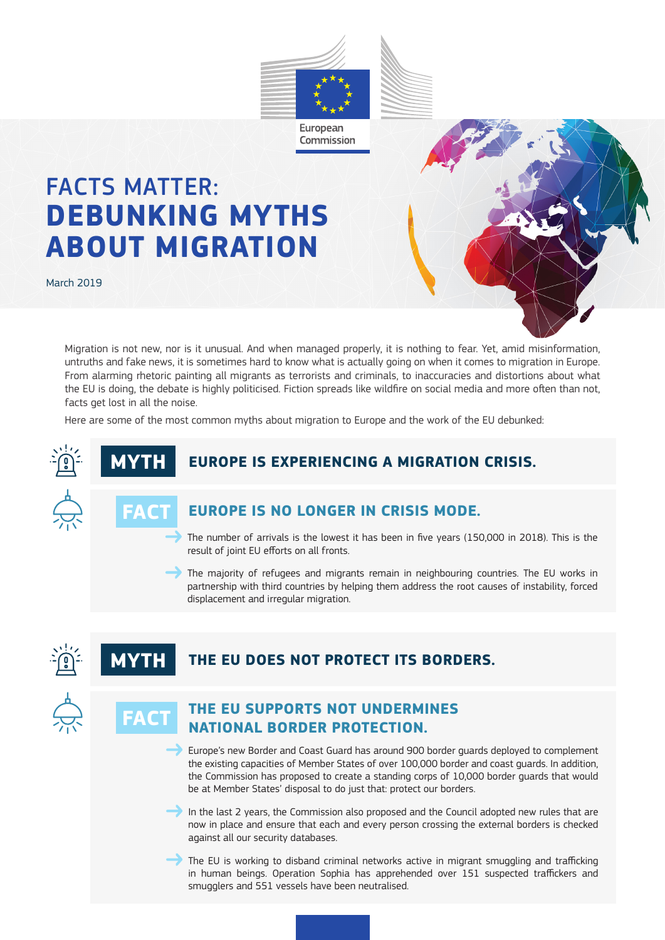

# FACTS MATTER: **DEBUNKING MYTHS ABOUT MIGRATION**

March 2019

Migration is not new, nor is it unusual. And when managed properly, it is nothing to fear. Yet, amid misinformation, untruths and fake news, it is sometimes hard to know what is actually going on when it comes to migration in Europe. From alarming rhetoric painting all migrants as terrorists and criminals, to inaccuracies and distortions about what the EU is doing, the debate is highly politicised. Fiction spreads like wildfire on social media and more often than not, facts get lost in all the noise.

Here are some of the most common myths about migration to Europe and the work of the EU debunked:

# **EUROPE IS EXPERIENCING A MIGRATION CRISIS.**



# **FACT**

# **EUROPE IS NO LONGER IN CRISIS MODE.**

 The number of arrivals is the lowest it has been in five years (150,000 in 2018). This is the result of joint EU efforts on all fronts.

 The majority of refugees and migrants remain in neighbouring countries. The EU works in partnership with third countries by helping them address the root causes of instability, forced displacement and irregular migration.

# **THE EU DOES NOT PROTECT ITS BORDERS.**



# **THE EU SUPPORTS NOT UNDERMINES NATIONAL BORDER PROTECTION.**

 Europe's new Border and Coast Guard has around 900 border guards deployed to complement the existing capacities of Member States of over 100,000 border and coast guards. In addition, the Commission has proposed to create a standing corps of 10,000 border guards that would be at Member States' disposal to do just that: protect our borders.

In the last 2 years, the Commission also proposed and the Council adopted new rules that are now in place and ensure that each and every person crossing the external borders is checked against all our security databases.

The EU is working to disband criminal networks active in migrant smuggling and trafficking in human beings. Operation Sophia has apprehended over 151 suspected traffickers and smugglers and 551 vessels have been neutralised.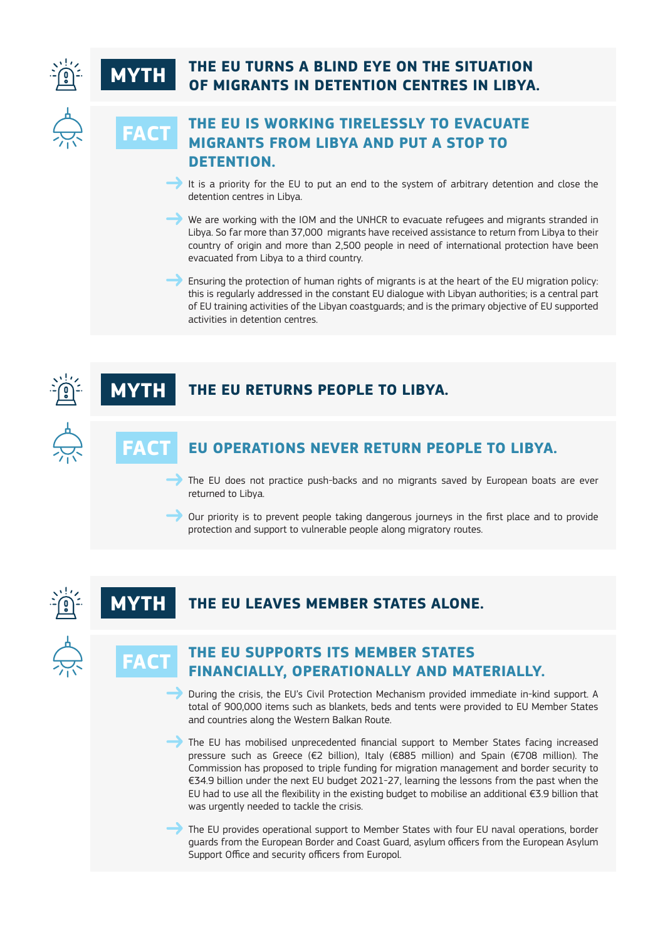# **THE EU TURNS A BLIND EYE ON THE SITUATION OF MIGRANTS IN DETENTION CENTRES IN LIBYA.**



**MYTH**

**FACT**

# **THE EU IS WORKING TIRELESSLY TO EVACUATE MIGRANTS FROM LIBYA AND PUT A STOP TO DETENTION.**

It is a priority for the EU to put an end to the system of arbitrary detention and close the detention centres in Libya.

We are working with the IOM and the UNHCR to evacuate refugees and migrants stranded in Libya. So far more than 37,000 migrants have received assistance to return from Libya to their country of origin and more than 2,500 people in need of international protection have been evacuated from Libya to a third country.

 Ensuring the protection of human rights of migrants is at the heart of the EU migration policy: this is regularly addressed in the constant EU dialogue with Libyan authorities; is a central part of EU training activities of the Libyan coastguards; and is the primary objective of EU supported activities in detention centres.





#### **THE EU LEAVES MEMBER STATES ALONE. MYTH**



**FACT**

# **THE EU SUPPORTS ITS MEMBER STATES FINANCIALLY, OPERATIONALLY AND MATERIALLY.**

 During the crisis, the EU's Civil Protection Mechanism provided immediate in-kind support. A total of 900,000 items such as blankets, beds and tents were provided to EU Member States and countries along the Western Balkan Route.

The EU has mobilised unprecedented financial support to Member States facing increased pressure such as Greece (€2 billion), Italy (€885 million) and Spain (€708 million). The Commission has proposed to triple funding for migration management and border security to €34.9 billion under the next EU budget 2021-27, learning the lessons from the past when the EU had to use all the flexibility in the existing budget to mobilise an additional €3.9 billion that was urgently needed to tackle the crisis.

The EU provides operational support to Member States with four EU naval operations, border guards from the European Border and Coast Guard, asylum officers from the European Asylum Support Office and security officers from Europol.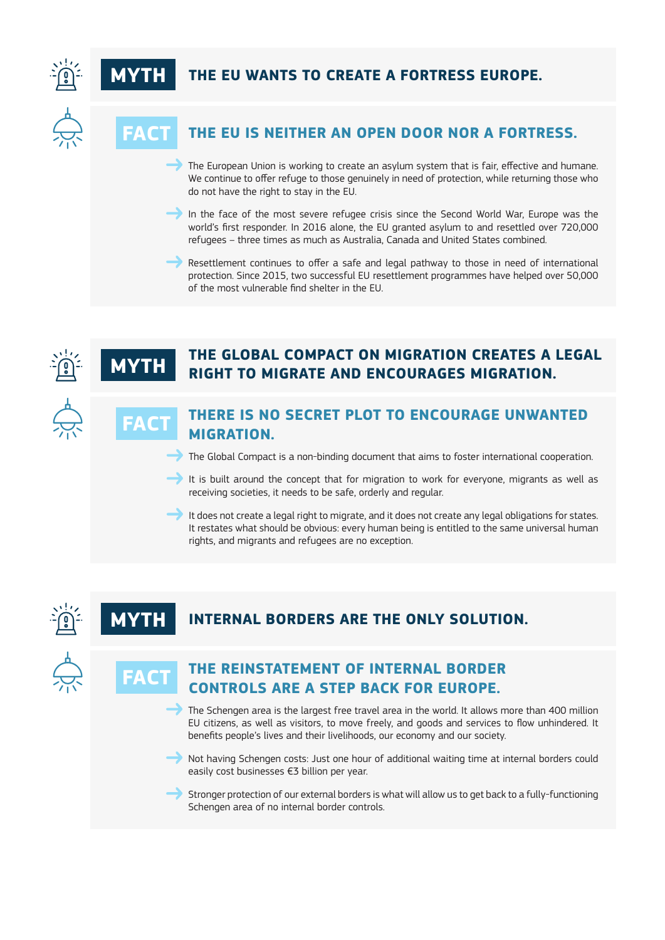



**FACT**

**MYTH**

**FAC** 

# **THE EU WANTS TO CREATE A FORTRESS EUROPE.**



# **THE EU IS NEITHER AN OPEN DOOR NOR A FORTRESS.**

The European Union is working to create an asylum system that is fair, effective and humane. We continue to offer refuge to those genuinely in need of protection, while returning those who do not have the right to stay in the EU.

In the face of the most severe refugee crisis since the Second World War, Europe was the world's first responder. In 2016 alone, the EU granted asylum to and resettled over 720,000 refugees – three times as much as Australia, Canada and United States combined.

 Resettlement continues to offer a safe and legal pathway to those in need of international protection. Since 2015, two successful EU resettlement programmes have helped over 50,000 of the most vulnerable find shelter in the EU.



# **THE GLOBAL COMPACT ON MIGRATION CREATES A LEGAL RIGHT TO MIGRATE AND ENCOURAGES MIGRATION.**



### **THERE IS NO SECRET PLOT TO ENCOURAGE UNWANTED MIGRATION.**

The Global Compact is a non-binding document that aims to foster international cooperation.

 It is built around the concept that for migration to work for everyone, migrants as well as receiving societies, it needs to be safe, orderly and regular.

It does not create a legal right to migrate, and it does not create any legal obligations for states. It restates what should be obvious: every human being is entitled to the same universal human rights, and migrants and refugees are no exception.

# **MYTH INTERNAL BORDERS ARE THE ONLY SOLUTION.**



# **THE REINSTATEMENT OF INTERNAL BORDER CONTROLS ARE A STEP BACK FOR EUROPE. FACT**

The Schengen area is the largest free travel area in the world. It allows more than 400 million EU citizens, as well as visitors, to move freely, and goods and services to flow unhindered. It benefits people's lives and their livelihoods, our economy and our society.

 Not having Schengen costs: Just one hour of additional waiting time at internal borders could easily cost businesses €3 billion per year.

Stronger protection of our external borders is what will allow us to get back to a fully-functioning Schengen area of no internal border controls.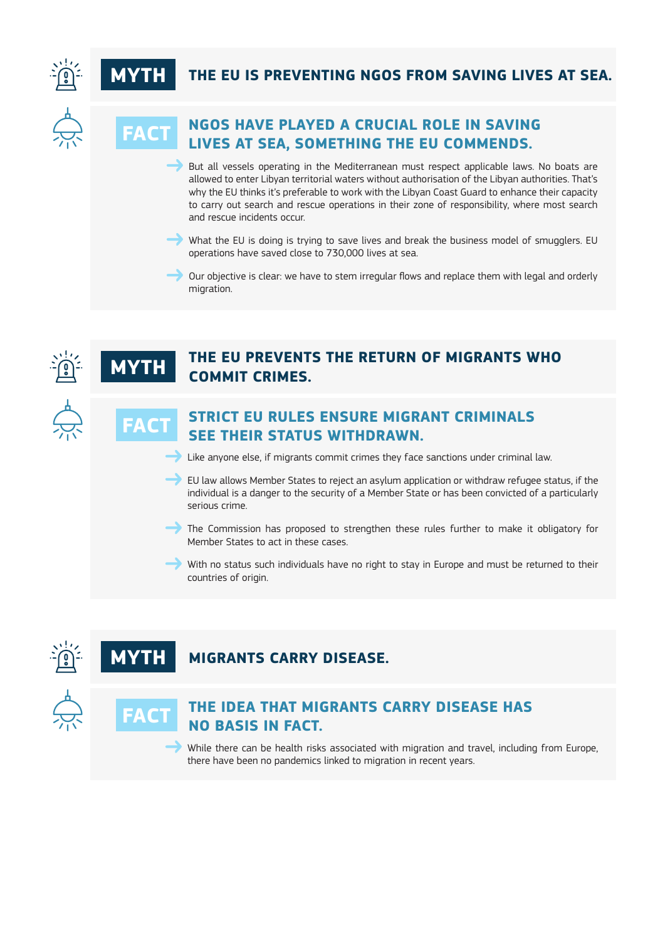



**MYTH**

**FACT**

# THE EU IS PREVENTING NGOS FROM SAVING LIVES AT SEA.



# **NGOS HAVE PLAYED A CRUCIAL ROLE IN SAVING LIVES AT SEA, SOMETHING THE EU COMMENDS. FACT**

 But all vessels operating in the Mediterranean must respect applicable laws. No boats are allowed to enter Libyan territorial waters without authorisation of the Libyan authorities. That's why the EU thinks it's preferable to work with the Libyan Coast Guard to enhance their capacity to carry out search and rescue operations in their zone of responsibility, where most search and rescue incidents occur.

What the EU is doing is trying to save lives and break the business model of smugglers. EU operations have saved close to 730,000 lives at sea.

 Our objective is clear: we have to stem irregular flows and replace them with legal and orderly migration.



# **THE EU PREVENTS THE RETURN OF MIGRANTS WHO COMMIT CRIMES.**



### **STRICT EU RULES ENSURE MIGRANT CRIMINALS SEE THEIR STATUS WITHDRAWN.**

Like anyone else, if migrants commit crimes they face sanctions under criminal law.

 $\rightarrow$  EU law allows Member States to reject an asylum application or withdraw refugee status, if the individual is a danger to the security of a Member State or has been convicted of a particularly serious crime.

The Commission has proposed to strengthen these rules further to make it obligatory for Member States to act in these cases.

With no status such individuals have no right to stay in Europe and must be returned to their countries of origin.

#### **MIGRANTS CARRY DISEASE. MY**



# **THE IDEA THAT MIGRANTS CARRY DISEASE HAS NO BASIS IN FACT.**

While there can be health risks associated with migration and travel, including from Europe, there have been no pandemics linked to migration in recent years.